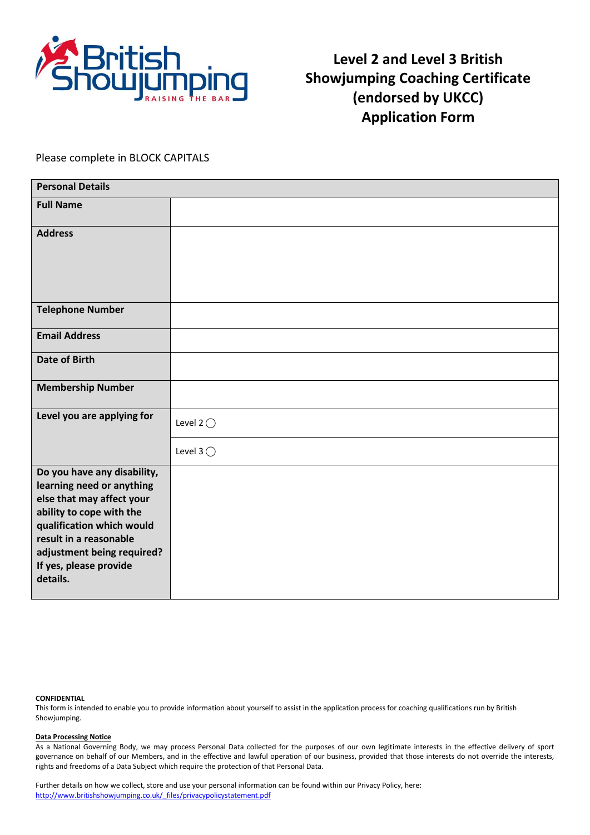

**Level 2 and Level 3 British Showjumping Coaching Certificate (endorsed by UKCC) Application Form**

Please complete in BLOCK CAPITALS

| <b>Personal Details</b>                                                                                                                                                                                                                      |                    |  |  |  |
|----------------------------------------------------------------------------------------------------------------------------------------------------------------------------------------------------------------------------------------------|--------------------|--|--|--|
| <b>Full Name</b>                                                                                                                                                                                                                             |                    |  |  |  |
| <b>Address</b>                                                                                                                                                                                                                               |                    |  |  |  |
| <b>Telephone Number</b>                                                                                                                                                                                                                      |                    |  |  |  |
| <b>Email Address</b>                                                                                                                                                                                                                         |                    |  |  |  |
| <b>Date of Birth</b>                                                                                                                                                                                                                         |                    |  |  |  |
| <b>Membership Number</b>                                                                                                                                                                                                                     |                    |  |  |  |
| Level you are applying for                                                                                                                                                                                                                   | Level 2 $\bigcirc$ |  |  |  |
|                                                                                                                                                                                                                                              | Level 3 $\bigcirc$ |  |  |  |
| Do you have any disability,<br>learning need or anything<br>else that may affect your<br>ability to cope with the<br>qualification which would<br>result in a reasonable<br>adjustment being required?<br>If yes, please provide<br>details. |                    |  |  |  |

#### **CONFIDENTIAL**

This form is intended to enable you to provide information about yourself to assist in the application process for coaching qualifications run by British Showjumping.

#### **Data Processing Notice**

As a National Governing Body, we may process Personal Data collected for the purposes of our own legitimate interests in the effective delivery of sport governance on behalf of our Members, and in the effective and lawful operation of our business, provided that those interests do not override the interests, rights and freedoms of a Data Subject which require the protection of that Personal Data.

Further details on how we collect, store and use your personal information can be found within our Privacy Policy, here: [http://www.britishshowjumping.co.uk/\\_files/privacypolicystatement.pdf](http://www.britishshowjumping.co.uk/_files/privacypolicystatement.pdf)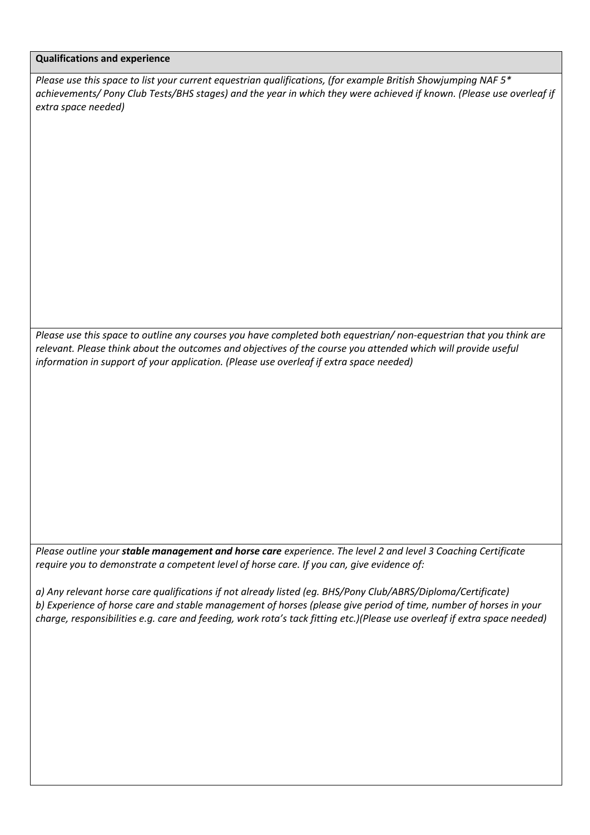### **Qualifications and experience**

*Please use this space to list your current equestrian qualifications, (for example British Showjumping NAF 5\* achievements/ Pony Club Tests/BHS stages) and the year in which they were achieved if known. (Please use overleaf if extra space needed)* 

*Please use this space to outline any courses you have completed both equestrian/ non-equestrian that you think are relevant. Please think about the outcomes and objectives of the course you attended which will provide useful information in support of your application. (Please use overleaf if extra space needed)*

*Please outline your stable management and horse care experience. The level 2 and level 3 Coaching Certificate require you to demonstrate a competent level of horse care. If you can, give evidence of:* 

*a) Any relevant horse care qualifications if not already listed (eg. BHS/Pony Club/ABRS/Diploma/Certificate) b) Experience of horse care and stable management of horses (please give period of time, number of horses in your charge, responsibilities e.g. care and feeding, work rota's tack fitting etc.)(Please use overleaf if extra space needed)*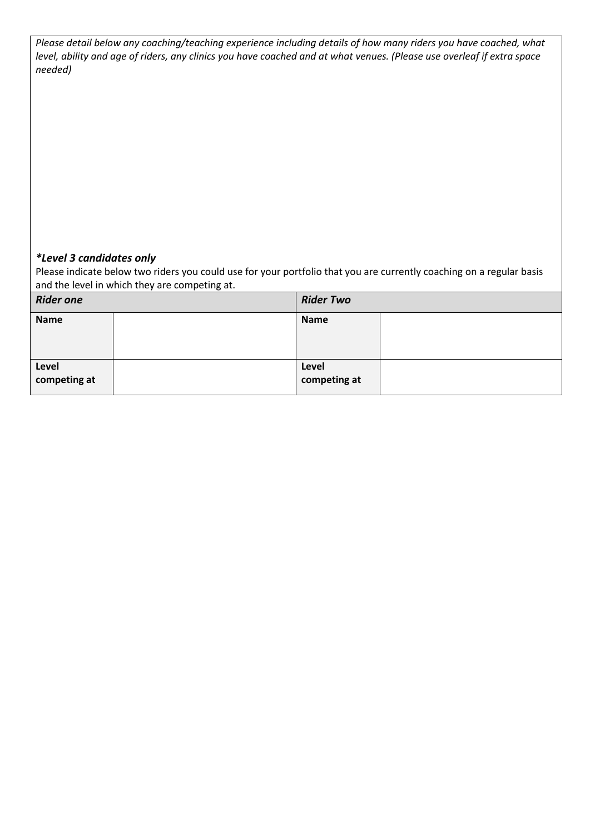| Please detail below any coaching/teaching experience including details of how many riders you have coached, what       |
|------------------------------------------------------------------------------------------------------------------------|
| level, ability and age of riders, any clinics you have coached and at what venues. (Please use overleaf if extra space |
| needed)                                                                                                                |

# *\*Level 3 candidates only*

Please indicate below two riders you could use for your portfolio that you are currently coaching on a regular basis and the level in which they are competing at.

| <b>Rider one</b>      |  | <b>Rider Two</b>      |  |
|-----------------------|--|-----------------------|--|
| <b>Name</b>           |  | <b>Name</b>           |  |
| Level<br>competing at |  | Level<br>competing at |  |